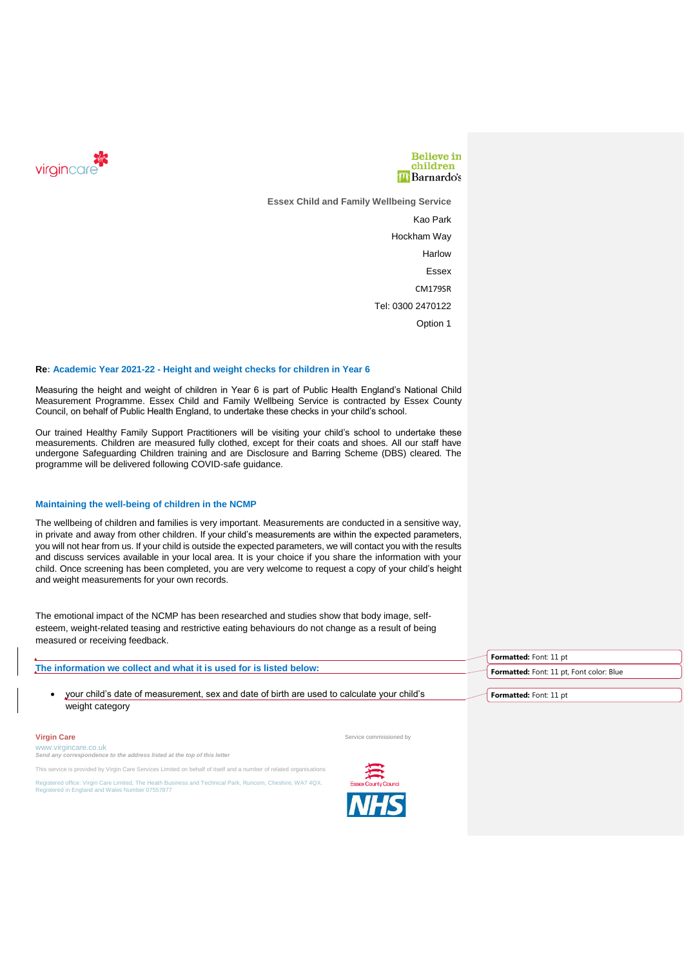



**Essex Child and Family Wellbeing Service**

Kao Park Hockham Way **Harlow** Essex CM179SR Tel: 0300 2470122 Option 1

# **Re: Academic Year 2021-22 - Height and weight checks for children in Year 6**

Measuring the height and weight of children in Year 6 is part of Public Health England's National Child Measurement Programme. Essex Child and Family Wellbeing Service is contracted by Essex County Council, on behalf of Public Health England, to undertake these checks in your child's school.

Our trained Healthy Family Support Practitioners will be visiting your child's school to undertake these measurements. Children are measured fully clothed, except for their coats and shoes. All our staff have undergone Safeguarding Children training and are Disclosure and Barring Scheme (DBS) cleared. The programme will be delivered following COVID-safe guidance.

## **Maintaining the well-being of children in the NCMP**

The wellbeing of children and families is very important. Measurements are conducted in a sensitive way, in private and away from other children. If your child's measurements are within the expected parameters, you will not hear from us. If your child is outside the expected parameters, we will contact you with the results and discuss services available in your local area. It is your choice if you share the information with your child. Once screening has been completed, you are very welcome to request a copy of your child's height and weight measurements for your own records.

The emotional impact of the NCMP has been researched and studies show that body image, selfesteem, weight-related teasing and restrictive eating behaviours do not change as a result of being measured or receiving feedback.

|                                                                                                               | <b>Formatted:</b> Font: 11 pt            |
|---------------------------------------------------------------------------------------------------------------|------------------------------------------|
| The information we collect and what it is used for is listed below:                                           | Formatted: Font: 11 pt, Font color: Blue |
| your child's date of measurement, sex and date of birth are used to calculate your child's<br>weight category | Formatted: Font: 11 pt                   |

**Virgin Care** Service commissioned by **Service commissioned by** Service commissioned by **Service** commissioned by

www.virgincare.co.uk *Send any correspondence to the address listed at the top of this letter*

This service is provided by Virgin Care Services Limited on behalf of itself and a number of related organisations

Registered office: Virgin Care Limited, The Heath Business and Technical Park, Runcorn, Cheshire, WA7 4QX. Registered in England and Wales Number 07557877

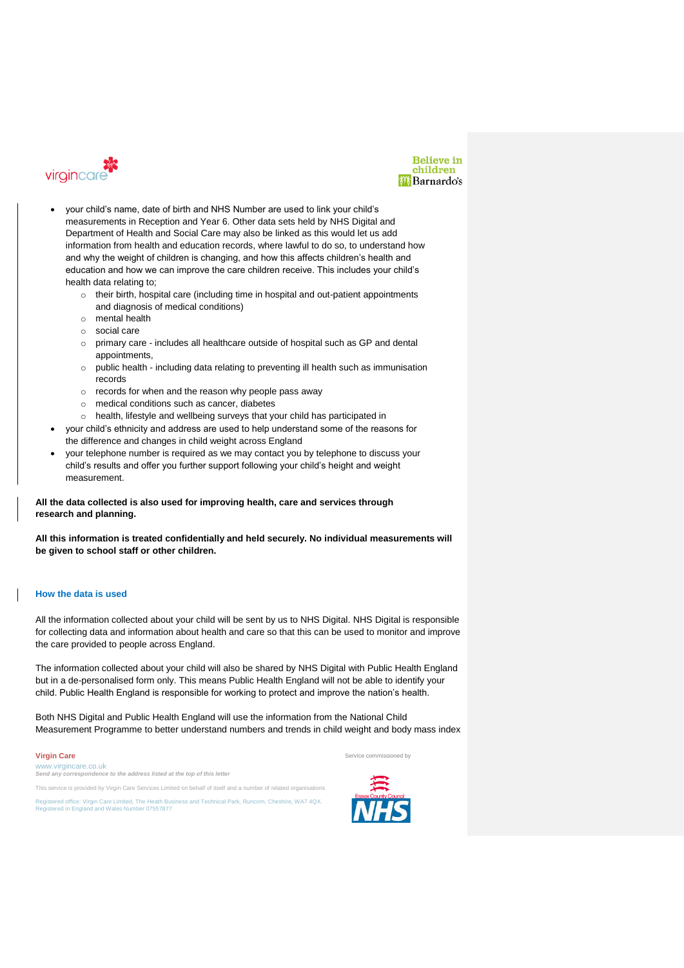



- your child's name, date of birth and NHS Number are used to link your child's measurements in Reception and Year 6. Other data sets held by NHS Digital and Department of Health and Social Care may also be linked as this would let us add information from health and education records, where lawful to do so, to understand how and why the weight of children is changing, and how this affects children's health and education and how we can improve the care children receive. This includes your child's health data relating to;
	- o their birth, hospital care (including time in hospital and out-patient appointments and diagnosis of medical conditions)
	- o mental health
	- o social care
	- o primary care includes all healthcare outside of hospital such as GP and dental appointments,
	- o public health including data relating to preventing ill health such as immunisation records
	- o records for when and the reason why people pass away
	- o medical conditions such as cancer, diabetes
	- o health, lifestyle and wellbeing surveys that your child has participated in
- your child's ethnicity and address are used to help understand some of the reasons for the difference and changes in child weight across England
- your telephone number is required as we may contact you by telephone to discuss your child's results and offer you further support following your child's height and weight measurement.

**All the data collected is also used for improving health, care and services through research and planning.**

**All this information is treated confidentially and held securely. No individual measurements will be given to school staff or other children.**

# **How the data is used**

All the information collected about your child will be sent by us to NHS Digital. NHS Digital is responsible for collecting data and information about health and care so that this can be used to monitor and improve the care provided to people across England.

The information collected about your child will also be shared by NHS Digital with Public Health England but in a de-personalised form only. This means Public Health England will not be able to identify your child. Public Health England is responsible for working to protect and improve the nation's health.

Both NHS Digital and Public Health England will use the information from the National Child Measurement Programme to better understand numbers and trends in child weight and body mass index

### **Virgin Care** Service commissioned by **Virgin Care** Service commissioned by **Service commissioned by**

www.virgincare.co.uk<br>Send any correspondence *Send any correspondence to the address listed at the top of this letter*

This service is provided by Virgin Care Services Limited on behalf of itself and a number of related organisations Registered office: Virgin Care Limited, The Heath Business and Technical Park, Runcorn, Cheshire, WA7 4QX. Registered in England and Wales Number 07557877



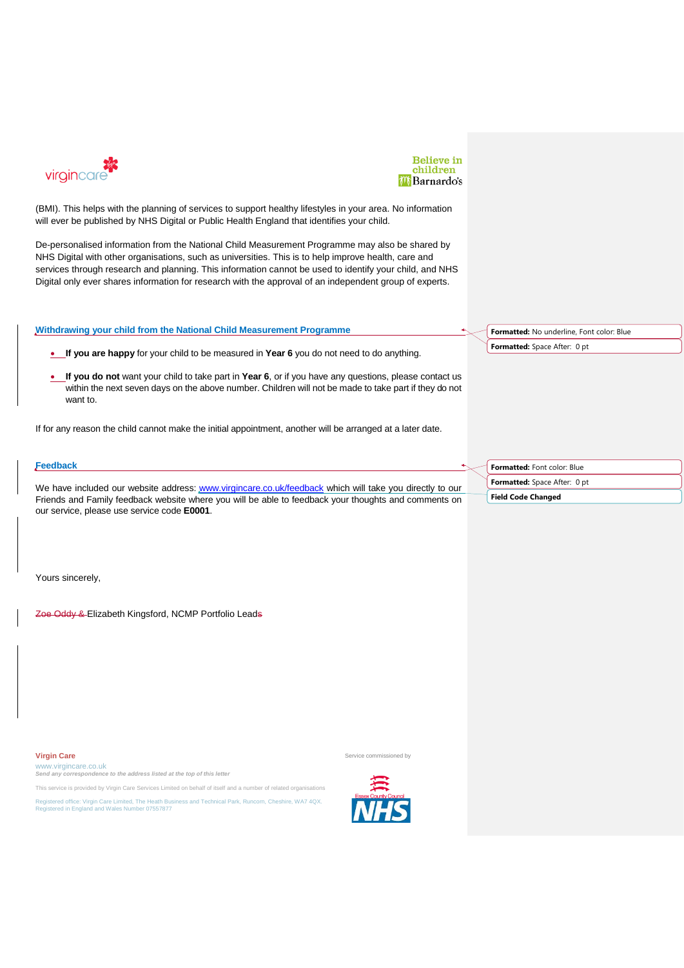



(BMI). This helps with the planning of services to support healthy lifestyles in your area. No information will ever be published by NHS Digital or Public Health England that identifies your child.

De-personalised information from the National Child Measurement Programme may also be shared by NHS Digital with other organisations, such as universities. This is to help improve health, care and services through research and planning. This information cannot be used to identify your child, and NHS Digital only ever shares information for research with the approval of an independent group of experts.

## **Withdrawing your child from the National Child Measurement Programme**

• **If you are happy** for your child to be measured in **Year 6** you do not need to do anything.

• **If you do not** want your child to take part in **Year 6**, or if you have any questions, please contact us within the next seven days on the above number. Children will not be made to take part if they do not want to.

If for any reason the child cannot make the initial appointment, another will be arranged at a later date.

#### **Feedback** We have included our website address: [www.virgincare.co.uk/feedback](http://www.virgincare.co.uk/feedback) which will take you directly to our Friends and Family feedback website where you will be able to feedback your thoughts and comments on our service, please use service code **E0001**. **Formatted:** Font color: Blue **Formatted:** Space After: 0 pt **Field Code Changed**

Yours sincerely,

Zoe Oddy & Elizabeth Kingsford, NCMP Portfolio Leads

**Virgin Care** Service commissioned by **Virgin Care** Service commissioned by **Service commissioned by** 

www.virgincare.co.uk *Send any correspondence to the address listed at the top of this letter*

This service is provided by Virgin Care Services Limited on behalf of itself and a number of related organisations

Registered office: Virgin Care Limited, The Heath Business and Technical Park, Runcorn, Cheshire, WA7 4QX. Registered in England and Wales Number 07557877





**Formatted:** No underline, Font color: Blue **Formatted:** Space After: 0 pt